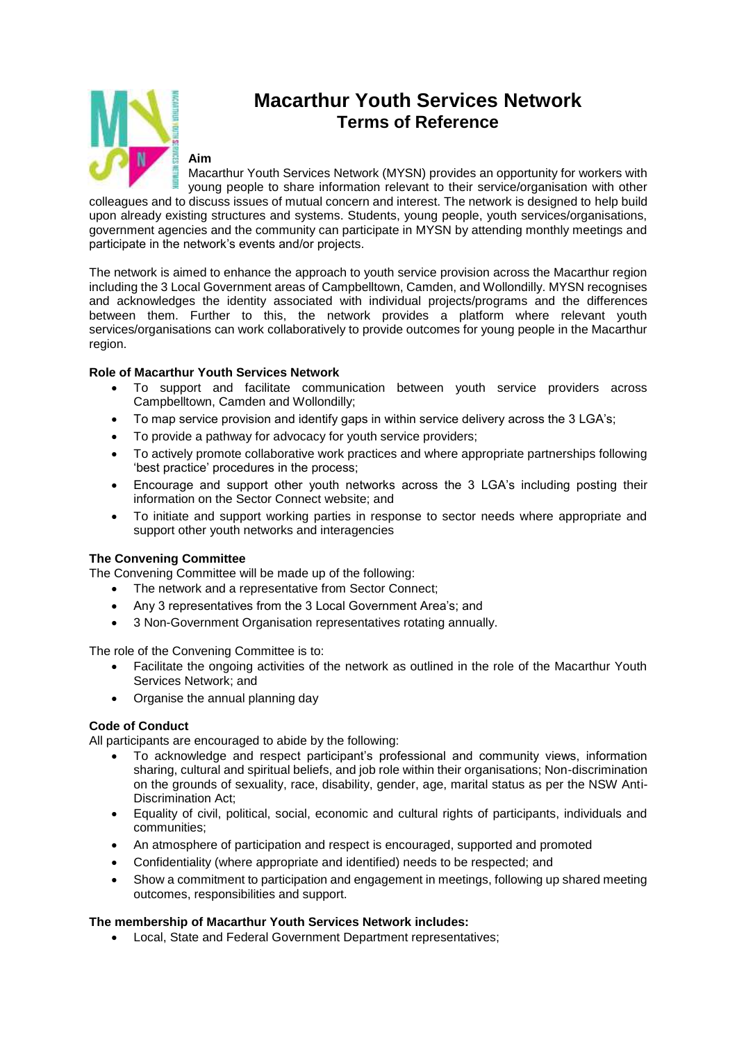

# **Macarthur Youth Services Network Terms of Reference**

### **Aim**

Macarthur Youth Services Network (MYSN) provides an opportunity for workers with young people to share information relevant to their service/organisation with other colleagues and to discuss issues of mutual concern and interest. The network is designed to help build upon already existing structures and systems. Students, young people, youth services/organisations,

government agencies and the community can participate in MYSN by attending monthly meetings and participate in the network's events and/or projects.

The network is aimed to enhance the approach to youth service provision across the Macarthur region including the 3 Local Government areas of Campbelltown, Camden, and Wollondilly. MYSN recognises and acknowledges the identity associated with individual projects/programs and the differences between them. Further to this, the network provides a platform where relevant youth services/organisations can work collaboratively to provide outcomes for young people in the Macarthur region.

## **Role of Macarthur Youth Services Network**

- To support and facilitate communication between youth service providers across Campbelltown, Camden and Wollondilly;
- To map service provision and identify gaps in within service delivery across the 3 LGA's;
- To provide a pathway for advocacy for youth service providers;
- To actively promote collaborative work practices and where appropriate partnerships following 'best practice' procedures in the process;
- Encourage and support other youth networks across the 3 LGA's including posting their information on the Sector Connect website; and
- To initiate and support working parties in response to sector needs where appropriate and support other youth networks and interagencies

## **The Convening Committee**

The Convening Committee will be made up of the following:

- The network and a representative from Sector Connect;
- Any 3 representatives from the 3 Local Government Area's; and
- 3 Non-Government Organisation representatives rotating annually.

The role of the Convening Committee is to:

- Facilitate the ongoing activities of the network as outlined in the role of the Macarthur Youth Services Network; and
- Organise the annual planning day

## **Code of Conduct**

All participants are encouraged to abide by the following:

- To acknowledge and respect participant's professional and community views, information sharing, cultural and spiritual beliefs, and job role within their organisations; Non-discrimination on the grounds of sexuality, race, disability, gender, age, marital status as per the NSW Anti-Discrimination Act;
- Equality of civil, political, social, economic and cultural rights of participants, individuals and communities;
- An atmosphere of participation and respect is encouraged, supported and promoted
- Confidentiality (where appropriate and identified) needs to be respected; and
- Show a commitment to participation and engagement in meetings, following up shared meeting outcomes, responsibilities and support.

## **The membership of Macarthur Youth Services Network includes:**

Local, State and Federal Government Department representatives;